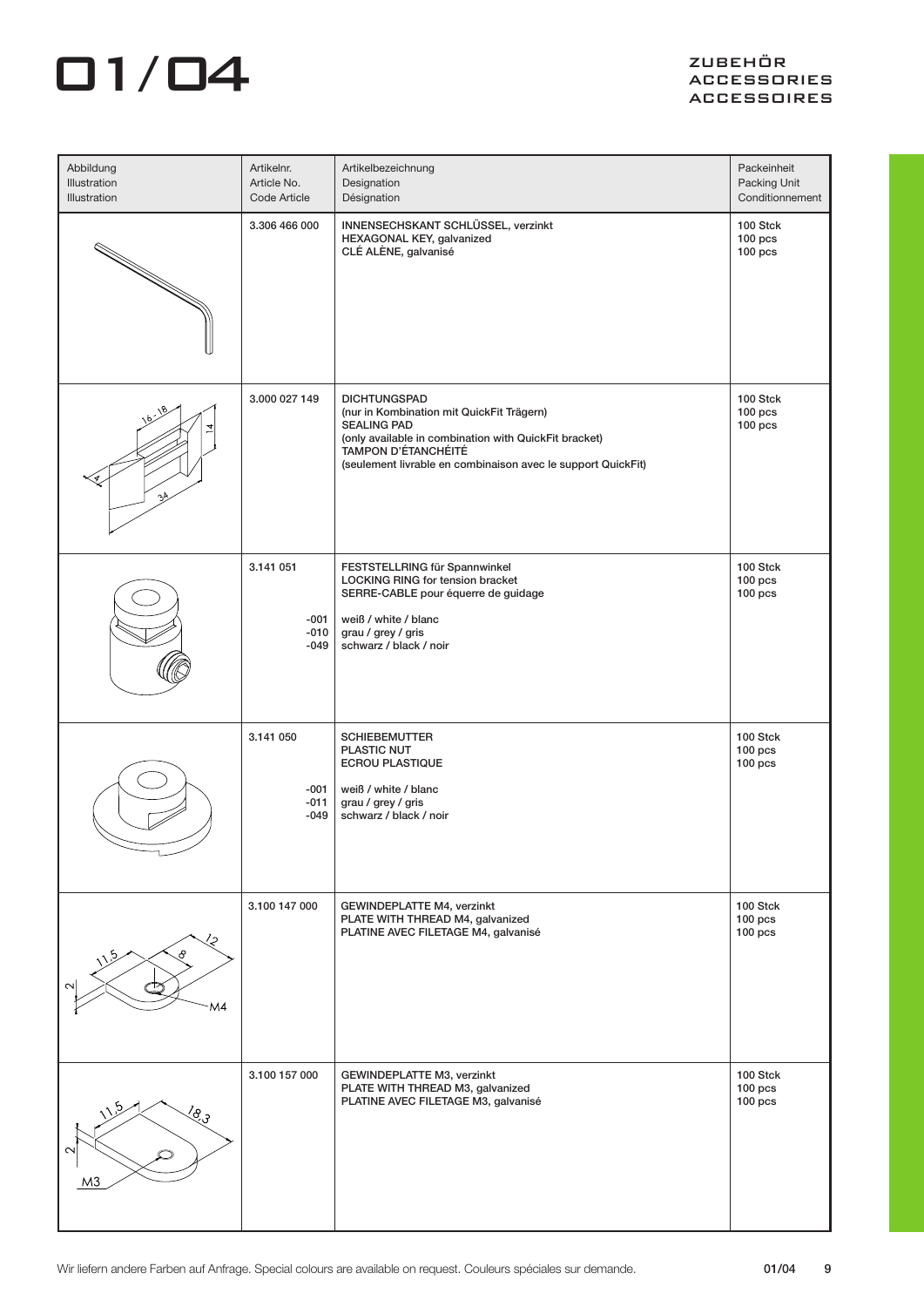## $\Box$ 1/ $\Box$ 4  $\Box$

| Abbildung<br>Illustration<br>Illustration   | Artikelnr.<br>Article No.<br>Code Article | Artikelbezeichnung<br>Designation<br>Désignation                                                                                                                                                                                       | Packeinheit<br>Packing Unit<br>Conditionnement |
|---------------------------------------------|-------------------------------------------|----------------------------------------------------------------------------------------------------------------------------------------------------------------------------------------------------------------------------------------|------------------------------------------------|
|                                             | 3.306 466 000                             | INNENSECHSKANT SCHLÜSSEL, verzinkt<br>HEXAGONAL KEY, galvanized<br>CLÉ ALÈNE, galvanisé                                                                                                                                                | 100 Stck<br>$100$ pcs<br>$100$ pcs             |
| ηÀ                                          | 3.000 027 149                             | <b>DICHTUNGSPAD</b><br>(nur in Kombination mit QuickFit Trägern)<br><b>SEALING PAD</b><br>(only available in combination with QuickFit bracket)<br>TAMPON D'ÉTANCHÉITÉ<br>(seulement livrable en combinaison avec le support QuickFit) | 100 Stck<br>$100$ pcs<br>$100$ pcs             |
|                                             | 3.141 051<br>-001<br>$-010$<br>$-049$     | FESTSTELLRING für Spannwinkel<br>LOCKING RING for tension bracket<br>SERRE-CABLE pour équerre de guidage<br>weiß / white / blanc<br>grau / grey / gris<br>schwarz / black / noir                                                       | 100 Stck<br>$100$ pcs<br>$100$ pcs             |
|                                             | 3.141 050<br>-001<br>$-011$<br>$-049$     | <b>SCHIEBEMUTTER</b><br>PLASTIC NUT<br>ECROU PLASTIQUE<br>weiß / white / blanc<br>grau / grey / gris<br>schwarz / black / noir                                                                                                         | 100 Stck<br>$100$ pcs<br>$100$ pcs             |
| ∕2<br>୫<br>M4                               | 3.100 147 000                             | <b>GEWINDEPLATTE M4, verzinkt</b><br>PLATE WITH THREAD M4, galvanized<br>PLATINE AVEC FILETAGE M4, galvanisé                                                                                                                           | 100 Stck<br>$100$ pcs<br>$100$ pcs             |
| $\frac{\sqrt{6}}{2}$<br>ᠭ<br>M <sub>3</sub> | 3.100 157 000                             | GEWINDEPLATTE M3, verzinkt<br>PLATE WITH THREAD M3, galvanized<br>PLATINE AVEC FILETAGE M3, galvanisé                                                                                                                                  | 100 Stck<br>$100$ pcs<br>$100$ pcs             |